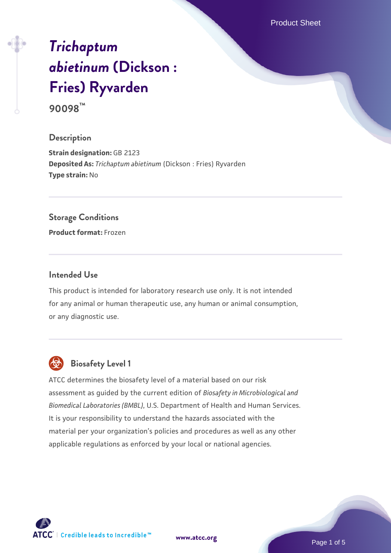Product Sheet

# *[Trichaptum](https://www.atcc.org/products/90098) [abietinum](https://www.atcc.org/products/90098)* **[\(Dickson :](https://www.atcc.org/products/90098) [Fries\) Ryvarden](https://www.atcc.org/products/90098)**

**90098™**

## **Description**

**Strain designation: GB 2123 Deposited As:** *Trichaptum abietinum* (Dickson : Fries) Ryvarden **Type strain:** No

## **Storage Conditions**

**Product format:** Frozen

#### **Intended Use**

This product is intended for laboratory research use only. It is not intended for any animal or human therapeutic use, any human or animal consumption, or any diagnostic use.



# **Biosafety Level 1**

ATCC determines the biosafety level of a material based on our risk assessment as guided by the current edition of *Biosafety in Microbiological and Biomedical Laboratories (BMBL)*, U.S. Department of Health and Human Services. It is your responsibility to understand the hazards associated with the material per your organization's policies and procedures as well as any other applicable regulations as enforced by your local or national agencies.

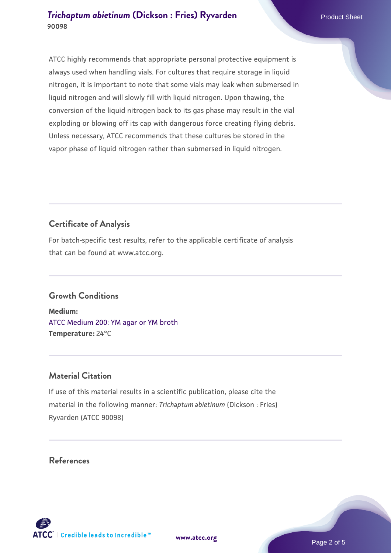ATCC highly recommends that appropriate personal protective equipment is always used when handling vials. For cultures that require storage in liquid nitrogen, it is important to note that some vials may leak when submersed in liquid nitrogen and will slowly fill with liquid nitrogen. Upon thawing, the conversion of the liquid nitrogen back to its gas phase may result in the vial exploding or blowing off its cap with dangerous force creating flying debris. Unless necessary, ATCC recommends that these cultures be stored in the vapor phase of liquid nitrogen rather than submersed in liquid nitrogen.

# **Certificate of Analysis**

For batch-specific test results, refer to the applicable certificate of analysis that can be found at www.atcc.org.

# **Growth Conditions**

**Medium:**  [ATCC Medium 200: YM agar or YM broth](https://www.atcc.org/-/media/product-assets/documents/microbial-media-formulations/2/0/0/atcc-medium-200.pdf?rev=ac40fd74dc13433a809367b0b9da30fc) **Temperature:** 24°C

## **Material Citation**

If use of this material results in a scientific publication, please cite the material in the following manner: *Trichaptum abietinum* (Dickson : Fries) Ryvarden (ATCC 90098)

#### **References**



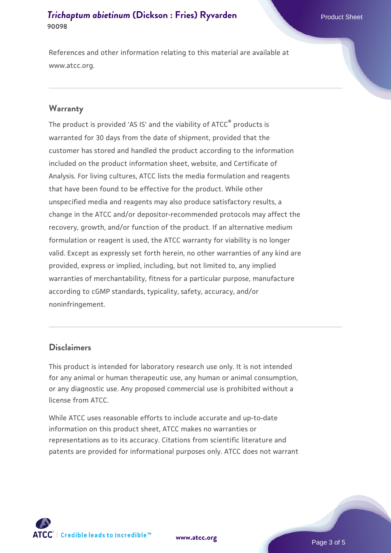References and other information relating to this material are available at www.atcc.org.

#### **Warranty**

The product is provided 'AS IS' and the viability of ATCC® products is warranted for 30 days from the date of shipment, provided that the customer has stored and handled the product according to the information included on the product information sheet, website, and Certificate of Analysis. For living cultures, ATCC lists the media formulation and reagents that have been found to be effective for the product. While other unspecified media and reagents may also produce satisfactory results, a change in the ATCC and/or depositor-recommended protocols may affect the recovery, growth, and/or function of the product. If an alternative medium formulation or reagent is used, the ATCC warranty for viability is no longer valid. Except as expressly set forth herein, no other warranties of any kind are provided, express or implied, including, but not limited to, any implied warranties of merchantability, fitness for a particular purpose, manufacture according to cGMP standards, typicality, safety, accuracy, and/or noninfringement.

#### **Disclaimers**

This product is intended for laboratory research use only. It is not intended for any animal or human therapeutic use, any human or animal consumption, or any diagnostic use. Any proposed commercial use is prohibited without a license from ATCC.

While ATCC uses reasonable efforts to include accurate and up-to-date information on this product sheet, ATCC makes no warranties or representations as to its accuracy. Citations from scientific literature and patents are provided for informational purposes only. ATCC does not warrant

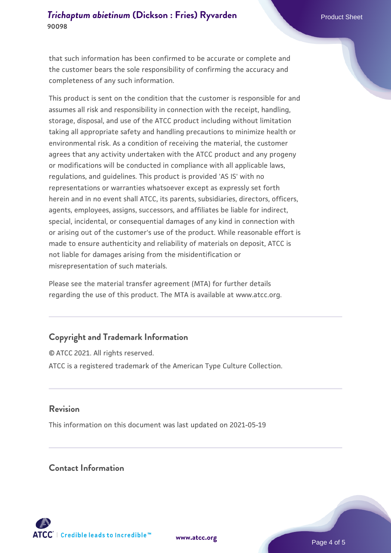that such information has been confirmed to be accurate or complete and the customer bears the sole responsibility of confirming the accuracy and completeness of any such information.

This product is sent on the condition that the customer is responsible for and assumes all risk and responsibility in connection with the receipt, handling, storage, disposal, and use of the ATCC product including without limitation taking all appropriate safety and handling precautions to minimize health or environmental risk. As a condition of receiving the material, the customer agrees that any activity undertaken with the ATCC product and any progeny or modifications will be conducted in compliance with all applicable laws, regulations, and guidelines. This product is provided 'AS IS' with no representations or warranties whatsoever except as expressly set forth herein and in no event shall ATCC, its parents, subsidiaries, directors, officers, agents, employees, assigns, successors, and affiliates be liable for indirect, special, incidental, or consequential damages of any kind in connection with or arising out of the customer's use of the product. While reasonable effort is made to ensure authenticity and reliability of materials on deposit, ATCC is not liable for damages arising from the misidentification or misrepresentation of such materials.

Please see the material transfer agreement (MTA) for further details regarding the use of this product. The MTA is available at www.atcc.org.

## **Copyright and Trademark Information**

© ATCC 2021. All rights reserved. ATCC is a registered trademark of the American Type Culture Collection.

#### **Revision**

This information on this document was last updated on 2021-05-19

#### **Contact Information**



**[www.atcc.org](http://www.atcc.org)**

Page 4 of 5